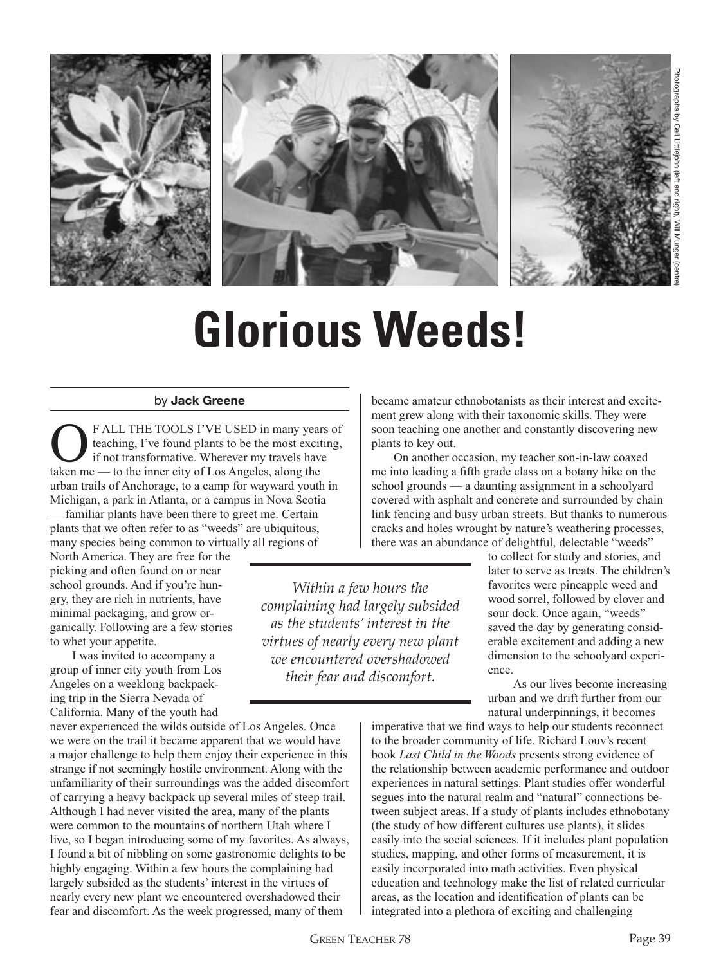

# **Glorious Weeds!**

*Within a few hours the complaining had largely subsided as the students' interest in the virtues of nearly every new plant we encountered overshadowed their fear and discomfort.*

#### by **Jack Greene**

**C**F ALL THE TOOLS I'VE USED in many years of teaching, I've found plants to be the most exciting, if not transformative. Wherever my travels have teaching, I've found plants to be the most exciting, taken me — to the inner city of Los Angeles, along the urban trails of Anchorage, to a camp for wayward youth in Michigan, a park in Atlanta, or a campus in Nova Scotia — familiar plants have been there to greet me. Certain plants that we often refer to as "weeds" are ubiquitous, many species being common to virtually all regions of

North America. They are free for the picking and often found on or near school grounds. And if you're hungry, they are rich in nutrients, have minimal packaging, and grow organically. Following are a few stories to whet your appetite.

 I was invited to accompany a group of inner city youth from Los Angeles on a weeklong backpacking trip in the Sierra Nevada of California. Many of the youth had

never experienced the wilds outside of Los Angeles. Once we were on the trail it became apparent that we would have a major challenge to help them enjoy their experience in this strange if not seemingly hostile environment. Along with the unfamiliarity of their surroundings was the added discomfort of carrying a heavy backpack up several miles of steep trail. Although I had never visited the area, many of the plants were common to the mountains of northern Utah where I live, so I began introducing some of my favorites. As always, I found a bit of nibbling on some gastronomic delights to be highly engaging. Within a few hours the complaining had largely subsided as the students' interest in the virtues of nearly every new plant we encountered overshadowed their fear and discomfort. As the week progressed, many of them

became amateur ethnobotanists as their interest and excitement grew along with their taxonomic skills. They were soon teaching one another and constantly discovering new plants to key out.

 On another occasion, my teacher son-in-law coaxed me into leading a fifth grade class on a botany hike on the school grounds — a daunting assignment in a schoolyard covered with asphalt and concrete and surrounded by chain link fencing and busy urban streets. But thanks to numerous cracks and holes wrought by nature's weathering processes, there was an abundance of delightful, delectable "weeds"

> to collect for study and stories, and later to serve as treats. The children's favorites were pineapple weed and wood sorrel, followed by clover and sour dock. Once again, "weeds" saved the day by generating considerable excitement and adding a new dimension to the schoolyard experience.

 As our lives become increasing urban and we drift further from our natural underpinnings, it becomes

imperative that we find ways to help our students reconnect to the broader community of life. Richard Louv's recent book *Last Child in the Woods* presents strong evidence of the relationship between academic performance and outdoor experiences in natural settings. Plant studies offer wonderful segues into the natural realm and "natural" connections between subject areas. If a study of plants includes ethnobotany (the study of how different cultures use plants), it slides easily into the social sciences. If it includes plant population studies, mapping, and other forms of measurement, it is easily incorporated into math activities. Even physical education and technology make the list of related curricular areas, as the location and identification of plants can be integrated into a plethora of exciting and challenging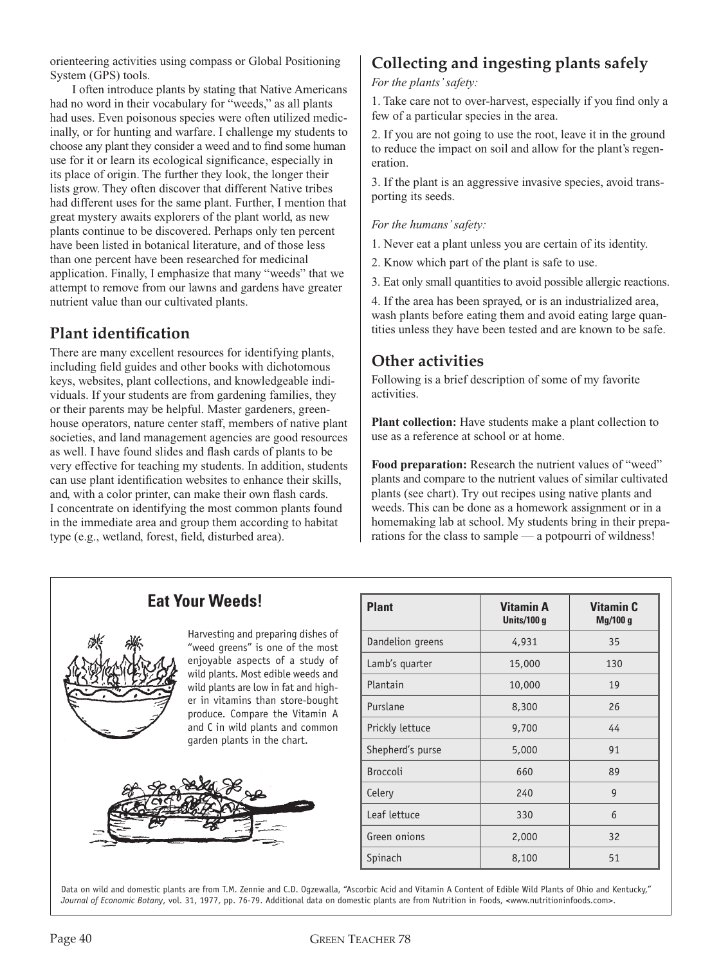orienteering activities using compass or Global Positioning System (GPS) tools.

 I often introduce plants by stating that Native Americans had no word in their vocabulary for "weeds," as all plants had uses. Even poisonous species were often utilized medicinally, or for hunting and warfare. I challenge my students to choose any plant they consider a weed and to find some human use for it or learn its ecological significance, especially in its place of origin. The further they look, the longer their lists grow. They often discover that different Native tribes had different uses for the same plant. Further, I mention that great mystery awaits explorers of the plant world, as new plants continue to be discovered. Perhaps only ten percent have been listed in botanical literature, and of those less than one percent have been researched for medicinal application. Finally, I emphasize that many "weeds" that we attempt to remove from our lawns and gardens have greater nutrient value than our cultivated plants.

### **Plant identification**

There are many excellent resources for identifying plants, including field guides and other books with dichotomous keys, websites, plant collections, and knowledgeable individuals. If your students are from gardening families, they or their parents may be helpful. Master gardeners, greenhouse operators, nature center staff, members of native plant societies, and land management agencies are good resources as well. I have found slides and flash cards of plants to be very effective for teaching my students. In addition, students can use plant identification websites to enhance their skills, and, with a color printer, can make their own flash cards. I concentrate on identifying the most common plants found in the immediate area and group them according to habitat type (e.g., wetland, forest, field, disturbed area).

# **Collecting and ingesting plants safely**

*For the plants' safety:* 

1. Take care not to over-harvest, especially if you find only a few of a particular species in the area.

2. If you are not going to use the root, leave it in the ground to reduce the impact on soil and allow for the plant's regeneration.

3. If the plant is an aggressive invasive species, avoid transporting its seeds.

#### *For the humans' safety:*

1. Never eat a plant unless you are certain of its identity.

2. Know which part of the plant is safe to use.

3. Eat only small quantities to avoid possible allergic reactions.

4. If the area has been sprayed, or is an industrialized area, wash plants before eating them and avoid eating large quantities unless they have been tested and are known to be safe.

#### **Other activities**

Following is a brief description of some of my favorite activities.

**Plant collection:** Have students make a plant collection to use as a reference at school or at home.

**Food preparation:** Research the nutrient values of "weed" plants and compare to the nutrient values of similar cultivated plants (see chart). Try out recipes using native plants and weeds. This can be done as a homework assignment or in a homemaking lab at school. My students bring in their preparations for the class to sample — a potpourri of wildness!

## **Eat Your Weeds!**



Harvesting and preparing dishes of "weed greens" is one of the most enjoyable aspects of a study of wild plants. Most edible weeds and wild plants are low in fat and higher in vitamins than store-bought produce. Compare the Vitamin A and C in wild plants and common garden plants in the chart.



| <b>Plant</b>     | <b>Vitamin A</b><br>Units/100 g | <b>Vitamin C</b><br>Mg/100g |
|------------------|---------------------------------|-----------------------------|
| Dandelion greens | 4,931                           | 35                          |
| Lamb's quarter   | 15,000                          | 130                         |
| Plantain         | 10,000                          | 19                          |
| Purslane         | 8,300                           | 26                          |
| Prickly lettuce  | 9,700                           | 44                          |
| Shepherd's purse | 5,000                           | 91                          |
| <b>Broccoli</b>  | 660                             | 89                          |
| Celery           | 240                             | 9                           |
| Leaf lettuce     | 330                             | 6                           |
| Green onions     | 2,000                           | 32                          |
| Spinach          | 8,100                           | 51                          |

Data on wild and domestic plants are from T.M. Zennie and C.D. Ogzewalla, "Ascorbic Acid and Vitamin A Content of Edible Wild Plants of Ohio and Kentucky," *Journal of Economic Botany*, vol. 31, 1977, pp. 76-79. Additional data on domestic plants are from Nutrition in Foods, <www.nutritioninfoods.com>.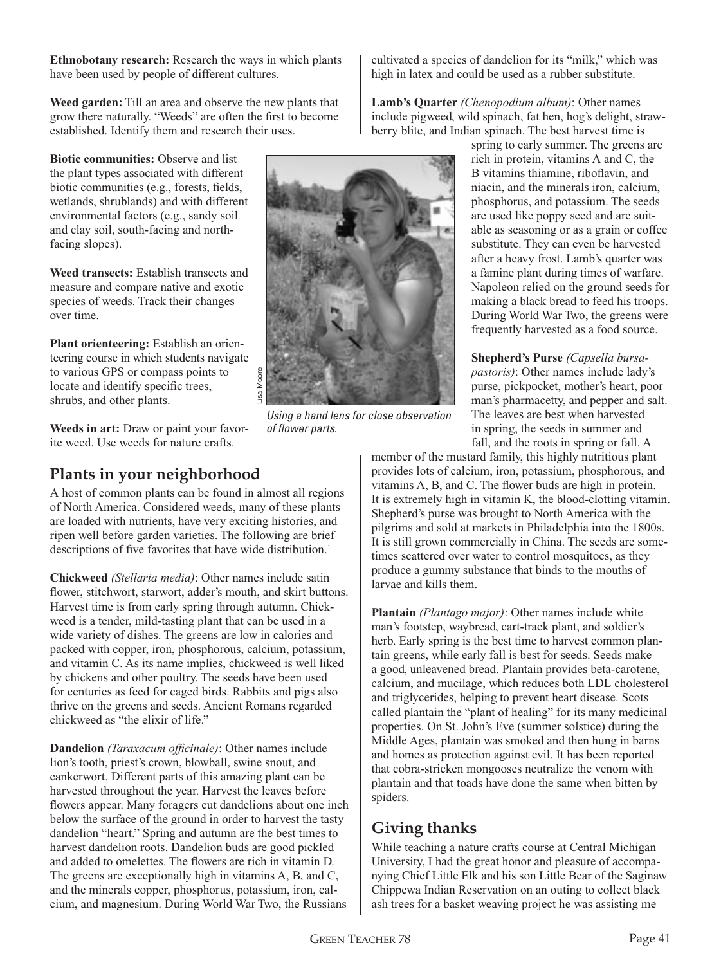**Ethnobotany research:** Research the ways in which plants have been used by people of different cultures.

**Weed garden:** Till an area and observe the new plants that grow there naturally. "Weeds" are often the first to become established. Identify them and research their uses.

**Biotic communities:** Observe and list the plant types associated with different biotic communities (e.g., forests, fields, wetlands, shrublands) and with different environmental factors (e.g., sandy soil and clay soil, south-facing and northfacing slopes).

**Weed transects:** Establish transects and measure and compare native and exotic species of weeds. Track their changes over time.

**Plant orienteering:** Establish an orienteering course in which students navigate to various GPS or compass points to locate and identify specific trees, shrubs, and other plants.

**Weeds in art:** Draw or paint your favorite weed. Use weeds for nature crafts.

# **Plants in your neighborhood**

A host of common plants can be found in almost all regions of North America. Considered weeds, many of these plants are loaded with nutrients, have very exciting histories, and ripen well before garden varieties. The following are brief descriptions of five favorites that have wide distribution.<sup>1</sup>

**Chickweed** *(Stellaria media)*: Other names include satin flower, stitchwort, starwort, adder's mouth, and skirt buttons. Harvest time is from early spring through autumn. Chickweed is a tender, mild-tasting plant that can be used in a wide variety of dishes. The greens are low in calories and packed with copper, iron, phosphorous, calcium, potassium, and vitamin C. As its name implies, chickweed is well liked by chickens and other poultry. The seeds have been used for centuries as feed for caged birds. Rabbits and pigs also thrive on the greens and seeds. Ancient Romans regarded chickweed as "the elixir of life."

**Dandelion** *(Taraxacum officinale)*: Other names include lion's tooth, priest's crown, blowball, swine snout, and cankerwort. Different parts of this amazing plant can be harvested throughout the year. Harvest the leaves before flowers appear. Many foragers cut dandelions about one inch below the surface of the ground in order to harvest the tasty dandelion "heart." Spring and autumn are the best times to harvest dandelion roots. Dandelion buds are good pickled and added to omelettes. The flowers are rich in vitamin D. The greens are exceptionally high in vitamins A, B, and C, and the minerals copper, phosphorus, potassium, iron, calcium, and magnesium. During World War Two, the Russians

cultivated a species of dandelion for its "milk," which was high in latex and could be used as a rubber substitute.

**Lamb's Quarter** *(Chenopodium album)*: Other names include pigweed, wild spinach, fat hen, hog's delight, strawberry blite, and Indian spinach. The best harvest time is

spring to early summer. The greens are rich in protein, vitamins A and C, the B vitamins thiamine, riboflavin, and niacin, and the minerals iron, calcium, phosphorus, and potassium. The seeds are used like poppy seed and are suitable as seasoning or as a grain or coffee substitute. They can even be harvested after a heavy frost. Lamb's quarter was a famine plant during times of warfare. Napoleon relied on the ground seeds for making a black bread to feed his troops. During World War Two, the greens were frequently harvested as a food source.

**Shepherd's Purse** *(Capsella bursapastoris)*: Other names include lady's purse, pickpocket, mother's heart, poor man's pharmacetty, and pepper and salt. The leaves are best when harvested in spring, the seeds in summer and fall, and the roots in spring or fall. A

member of the mustard family, this highly nutritious plant provides lots of calcium, iron, potassium, phosphorous, and vitamins A, B, and C. The flower buds are high in protein. It is extremely high in vitamin K, the blood-clotting vitamin. Shepherd's purse was brought to North America with the pilgrims and sold at markets in Philadelphia into the 1800s. It is still grown commercially in China. The seeds are sometimes scattered over water to control mosquitoes, as they produce a gummy substance that binds to the mouths of larvae and kills them.

**Plantain** *(Plantago major)*: Other names include white man's footstep, waybread, cart-track plant, and soldier's herb. Early spring is the best time to harvest common plantain greens, while early fall is best for seeds. Seeds make a good, unleavened bread. Plantain provides beta-carotene, calcium, and mucilage, which reduces both LDL cholesterol and triglycerides, helping to prevent heart disease. Scots called plantain the "plant of healing" for its many medicinal properties. On St. John's Eve (summer solstice) during the Middle Ages, plantain was smoked and then hung in barns and homes as protection against evil. It has been reported that cobra-stricken mongooses neutralize the venom with plantain and that toads have done the same when bitten by spiders.

# **Giving thanks**

While teaching a nature crafts course at Central Michigan University, I had the great honor and pleasure of accompanying Chief Little Elk and his son Little Bear of the Saginaw Chippewa Indian Reservation on an outing to collect black ash trees for a basket weaving project he was assisting me

Page 40 GREEN TEACHER 78 GREEN TEACHER 78 Page 41



Using a hand lens for close observation

of flower parts.